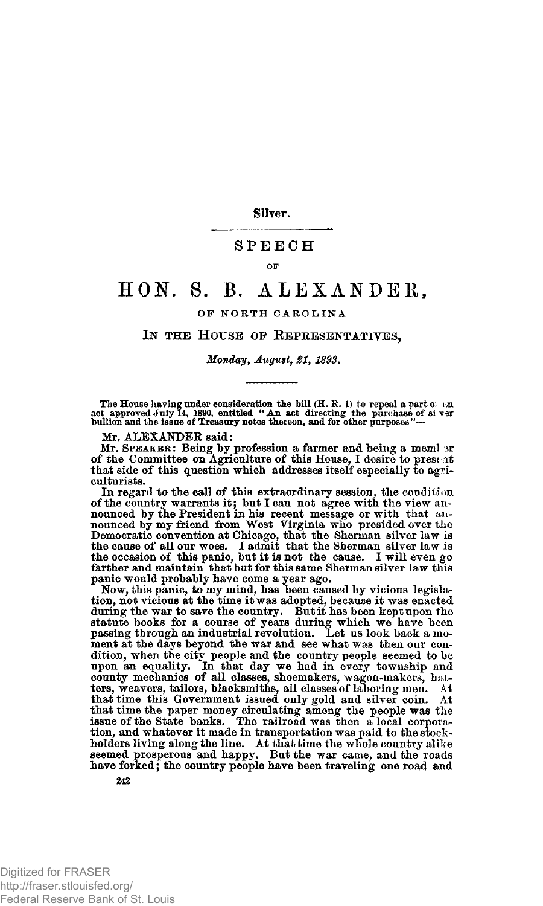**Silver.** 

## **SPEEC H**

#### **OF**

# **HON . S. B. ALEXANDER ,**

## **OP NORTH CAROLIN A**

### **IN THE HOUSE OF REPRESENTATIVES,**

#### *Monday, August, 21, 1893.*

The House having under consideration the bill (H. R. 1) to repeal a part  $\sigma$ : and approved July 14, 1890, entitled  $\cdot$  An act directing the purchase of si ver bullion and the issue of Treasury notes thereon, and for oth

Mr. ALEXANDER said:

Mr. SPEAKER: Being by profession a farmer and being a meml of the Committee on Agriculture of this House, I desire to present that side of this question which addresses itself especially to agriculturists.

In regard to the call of this extraordinary session, the condition of the country warrants it; but I can not agree with the view an-<br>nounced by the President in his recent message or with that an-<br>nounced by my friend from West Virginia who presided over the<br>Democratic convention at Chica panic would probably have come a year ago.

Now, this panic, to my mind, has been caused by vicious legislation, not victious at the time it was adopted, because it was enacted<br>during the war to save the country. But it has been kept upon the<br>statute books for a course of years during which we have been<br>passing through an indus ment at the days beyond the war and see what was then our condition, when the city people and the country people seemed to be<br>upon an equality. In that day we had in every township and<br>county mechanics of all classes, shoemakers, wagon-makers, hat-<br>ters, weavers, tailors, blacksmith that time the paper money circulating among the people was the issue of the State banks. The railroad was then a local corporation, and whatever it made in transportation was paid to the stockholders living along the line. At that time the whole country alike seemed prosperous and happy. But the war came, and the roads have forked; the country people have been traveling one road and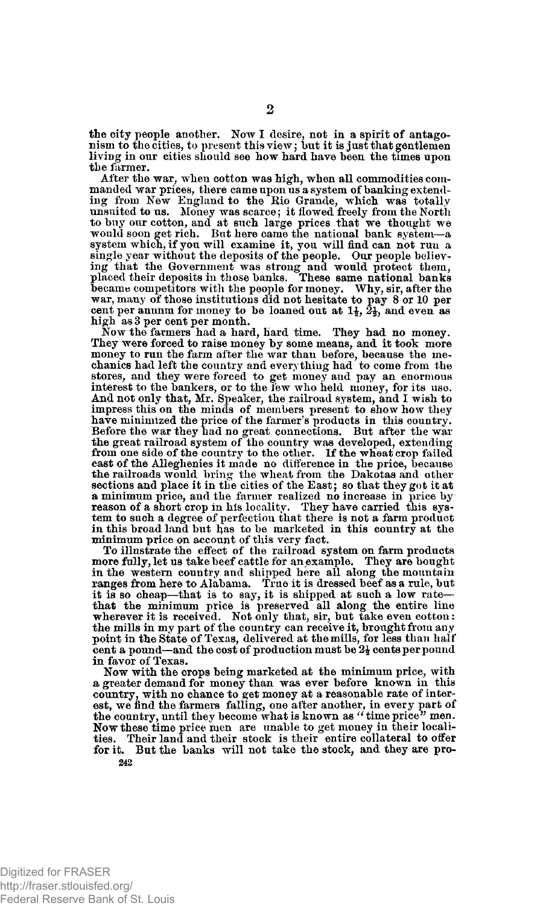the city people another. Now I desire, not in a spirit of antagonism to the cities, to present this view; but it is just that gentlemen living in our cities should see how hard have been the times upon the farmer.

After the war, when cotton was high, when all commodities commanded war prices, there came upon us a system of banking extending from New England to the Rio Grande, which was totally unsuited to us. Money was scarce; it flowed freely from the North to buy our cotton, and at such large prices that we thought we ould soon get rich. But here came t system which, if you will examine it, you will find can not run a single year without the deposits of the people. Our people believing that the Government was strong and would protect them,<br>placed their deposits in those banks. These same national banks<br>became competitors with the people for money. Why, sir, after the<br>war, many of those institutions high as 3 per cent per month.

Now the farmers had a hard, hard time. They had no money. They were forced to raise money by some means, and it took more money to run the farm after the war than before, because the me-chanics had left the country ana everything had to come from the stores, and they were forced to get money and pay an enormous interest to the bankers, or to the few who held money, for its use. And not only that, Mr. Speaker, the railroad system, and I wish to impress this on the minds of members present to show how they have minimized the price of the farmer's products in this country. Before the war they had no great connections. But after the war the great railroad system of the country was developed, extending from one side of the country to the other. If the wheat crop failed east of the Alleglienies it made no difference in the price, because the railroads would bring the wheat from the Dakotas and other sections and place it in the cities of the East; so that they got it at a minimum price, and the farmer realized no increase in price by reason of a short crop in his locality. They have carried this system to such a degree of perfection that there is not a farm product in this broad land but has to be marketed in this country at the minimum price on account of this very fact.

To illustrate the effect of the railroad system on farm products more fully, let us take beef cattle for an example. They are bought<br>in the western country and shipped here all along the mountain<br>ranges from here to Alabama. True it is dressed beef as a rule, but it is so cheap—that is to say, it is shipped at such a low rate that the minimum price is preserved all along the entire line wherever it is received. Not only that, sir, but take even cotton: the mills in my part of the country can receive it, brought from any part point in the State cent a pound—and the cost of production must be  $2\frac{1}{2}$  cents per pound in favor of Texas.

Now with the crops being marketed at the minimum price, with a greater demand for money than was ever before known in this country, with no chance to get money at a reasonable rate of interest, we find the farmers falling, one after another, in every part of the country, until they become what is known as " time price" men. Now these time price men are unable to get money in their localities. Their land and their stock is their entire collateral to offer for it. But the banks will not take the stock, and they are pro-**242**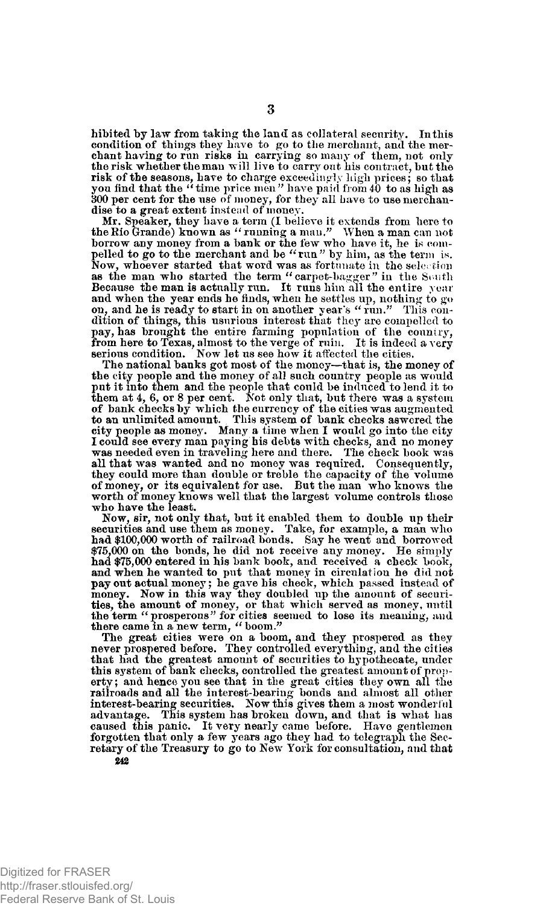hibited by law from taking the land as collateral security. In this condition of things they have to go to the merchant, and the mer-chant having to run risks in carrying so many of them, not only the risk whether the man will live to carry out his contract, but the risk of the seasons, have to charge exceedingly high prices; so that you find that the "time price men" have paid from 40 to as high as 800 per cent for the use of money, for they all have to use merchandise to a great extent instead of money.

Mr. Speaker, they have a term (I believe it extends from here to the Rio Grande) known as " running a man." When a man can not borrow any money from a bank or the few who have it, he is com-pelled to go to the merchant and be "rim" by him, as the term is. Now, whoever started that word was as fortunate in the selection<br>as the man who started the term "carpet-bagger" in the Seuth Because the man is actually run. It runs him all the entire year and when the year ends he finds, when he settles up, nothing to go on, and he is ready to start in on another year's " run." This condition of things, this usurious interest that they are compelled to pay, has brought the entire farming population of the country, from here to Texas, almost to the verge of ruin. It is indeed a very serious condition. Now let us see how it affected the cities.

The national banks got most of the money—that is, the money of the city people and the money of all such country people as would put it into them and the people that could be induced to lend it to<br>them at 4, 6, or 8 per cent. Not only that, but there was a system<br>of bank checks by which the currency of the cities was augmented<br>to an unlimited amount city people as money. Many a time when I would go into the city I could see every man paying his debts with checks, and no money was needed even in traveling here and there. The check book was all that was wanted and no money was required. Consequently, they could more than double or treble the capacity of the volume of money, or its equivalent for use. But the man who knows the worth of money knows well that the largest volume controls those who have the least.

Now, sir, not only that, but it enabled them to double up their securities and use them as money. Take, for example, a man who had \$100,000 worth of railroad bonds. Say he went and borrowed \$75,000 on the bonds, he did not receive any money. He simply had \$75,000 entered in his bank book, and received a check book, and when he wanted to put that money in circulation he did not pay out actual money; he gave his check, which passed instead of money. Now in this way they doubled up the amount of securities, the amount of money, or that which served as money, until the term "prosperous" for cities seemed to lose its meaning, and there came in a new term, "boom."

The great cities were on a boom, and they prospered as they never prospered before. They controlled everything, and the cities that had the greatest amount of securities to hypothecate, under this system of bank checks, controlled the greatest amount of property ; and hence you see that in the great cities they own all the railroads and all the interest-bearing bonds and almost all other interest-bearing securities. Now this gives them a most wonderful advantage. This system has broken down, and that is what has caused this panic. It very nearly came before. Have gentlemen forgotten that only a few years ago they had to telegraph the Secretary of the Treasury to go to New York for consultation, and that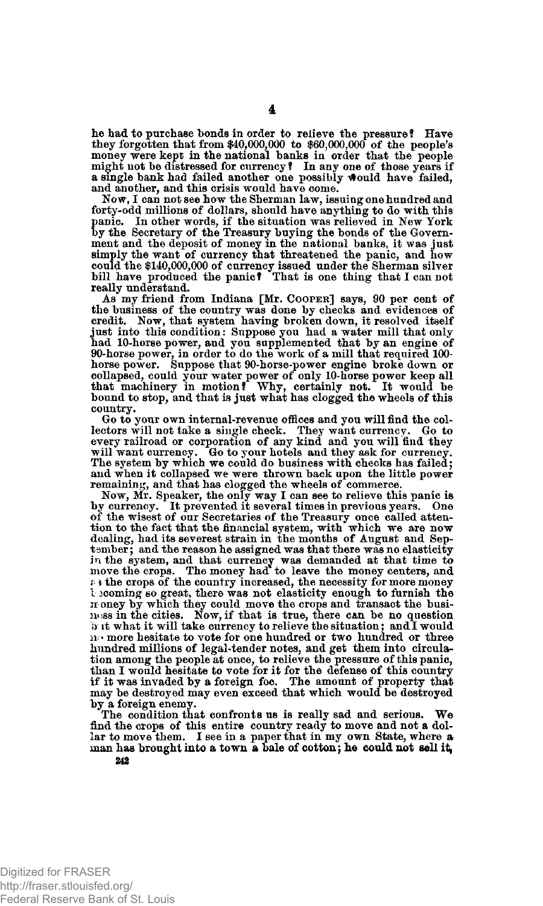lie had to purchase bonds in order to relieve the pressure? Have they forgotten that from \$40,000,000 to \$60,000,000 of the people's money were kept in the national banks in order that the people might not be distressed for currency ? In any one of those years if a single bank had failed another one possibly would have failed, and another, and this crisis would have come.

Now, I can not see how the Sherman law, issuing one hundred and forty-odd millions of dollars, should have anything to do with this panic. In other words, if the situation was relieved in New York by the Secretary of the Treasury buying the bonds of the Government and the deposit of money in the national banks, it was just simply the want of currency that threatened the panic, and how could the \$140,000,000 of currency issued under the Sherman silver bill have produced the panic? That is one thing that I cannot really understand.

As my friend from Indiana [Mr. **COOPER**] says, 90 per cent of the business of the country was done by checks and evidences of credit. Now, that system having broken down, it resolved itself just into this condition: Suppose you had a water mill that only had 10-horse power, and you supplemented that by an engine of 90-horse power, in order to do the work of a mill that required 100- horse power. Suppose that 90-horse-power engine broke down or collapsed, could your water power of only 10-horse power keep all that machinery in motion? Why, certainly not. It would be bound to stop, and that is just what has clogged the wheels of this country.

Go to your own internal-revenue offices and you will find the collectors will not take a single check. They want currency. Go to every railroad or corporation of any kind and you will find they will want currency. Go to your hotels and they ask for currency.<br>The system by which we could and when it collapsed we were thrown back upon the little power

remaining, and that has clogged the wheels of commerce.<br>Now, Mr. Speaker, the only way I can see to relieve this panic is<br>by currency. It prevented it several times in previous years. One<br>of the wisest of our Secretaries o tion to the fact that the financial system, with which we are now dealing, had its severest strain in the months of August and September; and the reason he assigned was that there was no elasticity in the system, and that currency was demanded at that time to move the crops. The money had to leave the money centers, and  $\epsilon$ - the crops of the country increased, the necessity for more money **1 3Coming** so great, there was not elasticity enough to furnish the no oney by which they could move the crops and transact the busi-ness in the cities. Now, if that is true, there can be no question b it what it will take currency to relieve the situation; and I would no more hesitate to vote for one hundred or two hundred or three hundred millions of legal-tender notes, and get them into circulation among the people at once, to relieve the pressure of this panic,<br>than I would hesitate to vote for it for the defense of this country<br>if it was invaded by a foreign foe. The amount of property that<br>may be destroyed ma by a foreign enemy.

The condition that confronts us is really sad and serious. We find the crops of this entire country ready to move and not a dollar to move them. I see in a paper that in my own State, where a man has brought into a town a bale of cotton; he could not sell it,

4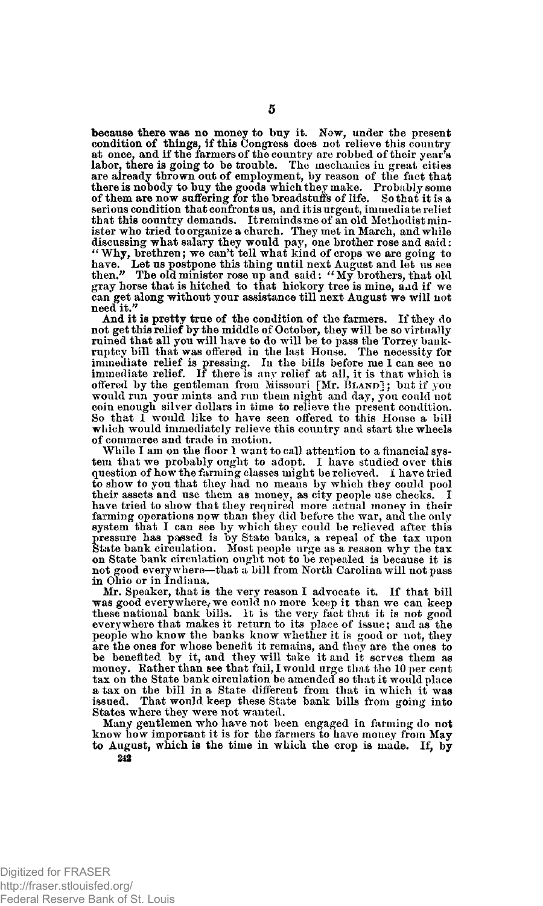because there was no **money** to buy it. Now, under the present condition of things, if this Congress does not relieve this country at once, and if the farmers of the country are robbed of their year's labor, there is going to be trouble. The mechanics in great cities are already thrown out of employment, by reason of tlie fact that there is nobody to buy the goods which they make. Probably some of them are now suffering for the breadstuff's of life. So that it is a serious condition that confronts us, and it is urgent, immediate reliet that this country demands. It reminds me of an old Methodist minister who tried to organize a church. They met in March, and while discussing what salary they would pay, one brother rose and said:<br>"Why, brethren; we can't tell what kind of crops we are going to<br>have. Let us postpone this thing until next August and let us see<br>then." The old minister r gray horse that is hitched to that hickory tree is mine, and if we can get along without your assistance till next August we will not need it.

And it is pretty true of the condition of the farmers. If they do not get this relief by the middle of October, they will be so virtually ruined that all you will have to do will be to pass the Torrey bankruptcy bill that was offered in the last House. The necessity for immediate relief is pressing. In the bills before me 1 can see no immediate relief. If there is any relief at all, it is that which is offered by the gentleman from Missouri [Mr. **BLAND**] ; but if you would run your mints and run them night and day, you could not coin enough silver dollars in time to relieve tlie present condition. So that I would like to have seen offered to this House a bill which would immediately relieve this country and start the wheels of commerce and trade in motion.

While I am on the floor 1 want to call attention to a financial system that we probably ought to adopt. I have studied over this question of how the farming classes might be relieved. I have tried to show to you that they had no means by which they could pool their assets and use them as money, as city people use checks. I have tried to show that they required more actual money in their farming operations now than they did before the war, and the only system that I can see by which they could be relieved after this pressure has passed is by State banks, a repeal of the tax upon State bank circulation. Most people urge as a reason why the tax on State bank circulation ought not to be repealed is because it is not good everywhere—that a bill from North Carolina will not pass in Ohio or in Indiana.

Mr. Speaker, that is the very reason I advocate it. If that bill was good everywhere, we could no more keep it than we can keep these national bank bills. It is the very fact that it is not good everywhere that makes it return to its place of issue; and as the people who know the banks know whether it is good or not, they are the ones for whose benefit it remains, and they are the ones to be benefited by it, and they will take it and it serves them as money. Rather than see that fail, I would urge that the 10 per cent tax on the State bank circulation be amended so that it would place a tax on the bill in a State different from that in which it was issued. That would keep these State bank bills from going into States where they were not wanted.

Many gentlemen who have not been engaged in farming do not know how important it is for the farmers to have money from May to August, which is the time in which the crop is made. If, by

**242**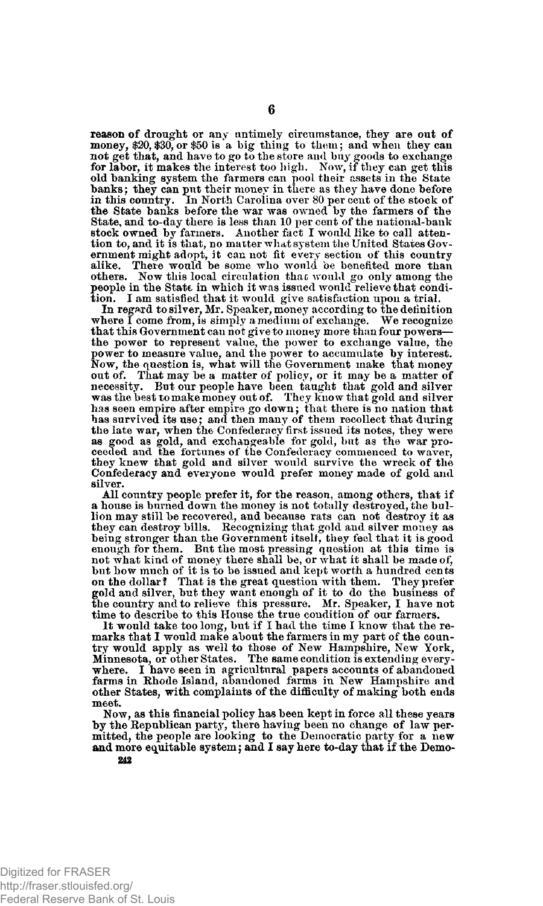reason of drought or any untimely circumstance, they are out of money, \$20, \$30, or \$50 is a big thing to them; and when they can not get that, and have to go to the store and buy goods to exchange for labor, it makes the interest too high. Now, if they can get this old banking system the farmers can pool their assets in the State banks; they can put their money in there as they have done before in this country. In North Carolina over 80 per cent of the stock of the State banks before the war was owned by the farmers of the State, and to-day there is less than 10 per cent of the national-bank stock owned by farmers. Another fact I would like to call attention to, and it is that, no matter what system the United States Government might adopt, it cannot fit every section of this country alike. There would be some who would be benefited more than others. Now this local circulation thac would go only among the people in the State in which it was issued would relieve that condition. I am satisfied that it would give satisfaction upon a trial.

In regard to silver, Mr. Speaker, money according to the definition where I come from, is simply a medium of exchange. We recognize that this Government can not give to money more than four powers— the power to represent value, the power to exchange value, the power to measure value, and the power to accumulate by interest. Now, the question is, what will the Government make that money out of. That may be a matter of policy, or it may be a matter of necessity. But our people have been taught that gold and silver was the best to make money out of. They know that gold and silver has seen empire after empire go down; that there is no nation that has survived its use; and then many of them recollect that during the late war, when the Confederacy first issued its notes, they were as good as gold, and exchangeable for gold, but as the war pro-ceeded and the fortunes of the Confederacy commenced to waver, they knew that gold and silver would survive the wreck of the Confederacy and everyone would prefer money made of gold and silver.

All country people prefer it, for the reason, among others, that if a house is burned down the money is not totally destroyed, the bullion may still be recovered, and because rats can not destroy it as they can destroy bills. Recognizing that gold and silver money as being stronger than the Government itself, they feel that it is good enough for them. But the most pressing question at this time is not what kind of money there shall be, or what it shall be made of, but how much of it is to be issued and kept worth a hundred cents on the dollar? That is the great question with them. They prefer gold and silver, but they want enough of it to do the business of the country and to relieve this pressure. Mr. Speaker, I have not time to describe to this House the true condition of our farmers.

It would take too long, but if I had the time I know that the remarks that I would make about the farmers in my part of the country would apply as well to those of New Hampshire, New York, Minnesota, or other States. The same condition is extending everywhere. I have seen in agricultural papers accounts of abandoned farms in Rhode Island, abandoned farms in New Hampshire and other States, with complaints of the difficulty of making both ends meet.

Now, as this financial policy has been kept in force all these years by the Republican party, there having been no change of law per-mitted, the people are looking to the Democratic party for a new and more equitable system; and I say here to-day that if the Demo-

**6**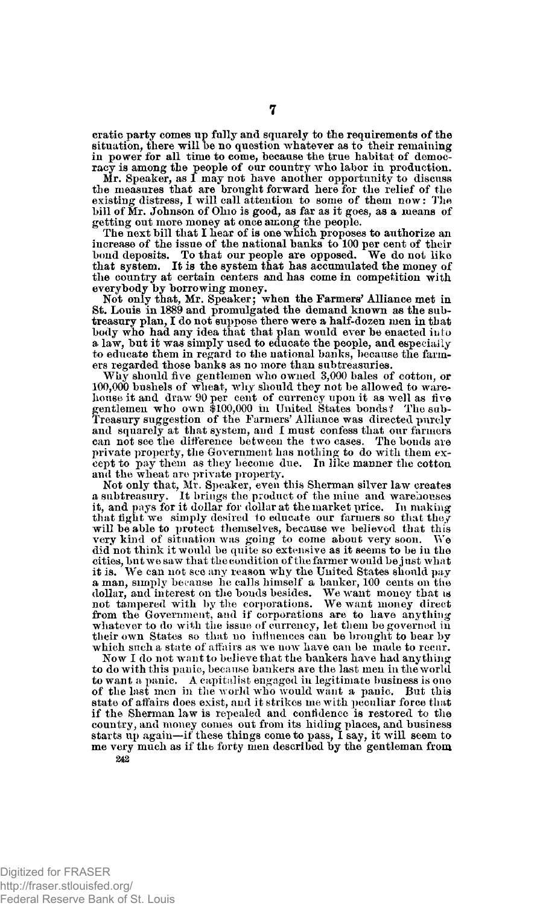cratic party comes up fully and squarely to the requirements of the situation, there will he no question whatever as to their remaining in power for all time to come, because the true habitat of democracy is among the people of our country who labor in production.

Mr. Speaker, as I may not have another opportunity to discuss the measures that are brought forward here for the relief of the existing distress, I will call attention to some of them now: Hie bill of Mr. Johnson of Ohio is good, as far as it goes, as a means of getting out more money at once among the people.

The next bill that I hear of is one which proposes to authorize an increase of the issue of the national banks to 100 per cent of their bond deposits. To that our people are opposed. We do not like that system. It is the system that has accumulated the money of the country at certain cent everybody by borrowing money.

Not only that, Mr. Speaker; when the Farmers' Alliance met in St. Louis in 1889 and promulgated the demand known as the subtreasury plan, I do not suppose there were a half-dozen men in that body who had any idea that that plan would ever be enacted into a law, but it was simply used to educate the people, and especially to educate them in regard to the national banks, because the farmers regarded those banks as no more than subtreasuries.

Why should five gentlemen who owned 3,000 bales of cotton, or 100,000 bushels of wheat, why should they not be allowed to ware-house it and draw 90 per cent of currency upon it as well as five gentlemen who own \$100,000 in United States bonds? The sab-Treasury suggestion of the Farmers' Alliance was directed purely and squarely at that system, and I must confess that our farmers can not see the difference between the two cases. The bonds are private property, the Government has nothing to do with them except to pay them as they become due. In like manner the cotton and the wheat are private property.

Not only that, Mr. Speaker, even this Sherman silver law creates a subtreasury. It brings the product of the mine and warehouses it, and pays for it dollar for dollar at the market price. In making that fight we simply desired to educate our farmers so that they will be able to protect themselves, because we believed that this very kind of situation was going to come about very soon. We very kind of situation was going to come about very soon. did'not think it would be quite so extensive as it seems to be in the cities, but we saw that the condition of the farmer would be just what it is. We can not see any reason why the United States should pay a man, simply because he calls himself a banker, 100 cents on tine dollar, and interest on the bonds besides. We want money that is not tampered with by the corporations. We want money direct from the Government, and if corporations are to have anything whatever to do with the issue of currency, let them be governed in their own States so that no influences can be brought to bear by which such a state of affairs as we now have can be made to recur.

Now I do not want to believe that the bankers have had anything to do with this panic, because bankers are the last men in the world to want a panic. A capitalist engaged in legitimate business is one of the last men in the world who would want a panic. state of affairs does exist, and it strikes me with peculiar force that if the Sherman law is repealed and confidence is restored to the country, and money comes out from its hiding places, and business<br>starts up again—if these things come to pass, I say, it will seem to me very much as if the forty men described by the gentleman from